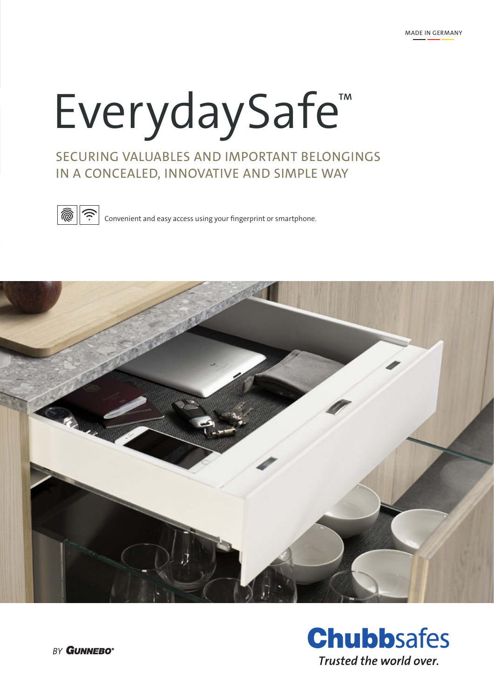# EverydaySafe™

# SECURING VALUABLES AND IMPORTANT BELONGINGS IN A CONCEALED, INNOVATIVE AND SIMPLE WAY



 $\left|\widehat{\mathbb{Q}}\right|\left|\widehat{\mathbb{C}}\right|$  convenient and easy access using your fingerprint or smartphone.



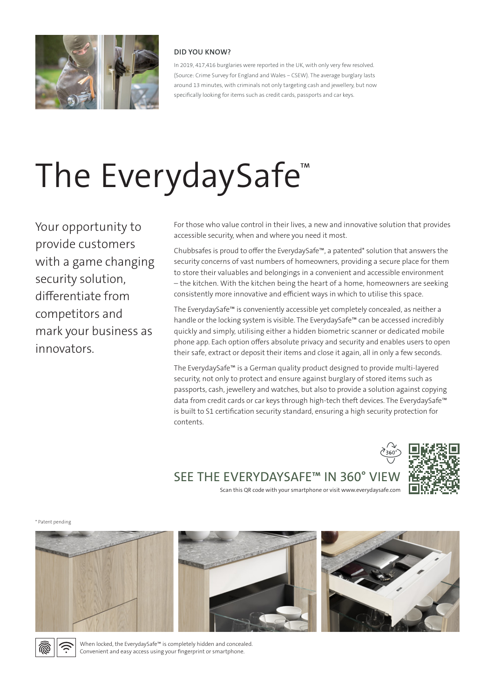

#### **DID YOU KNOW?**

In 2019, 417,416 burglaries were reported in the UK, with only very few resolved. (Source: Crime Survey for England and Wales – CSEW). The average burglary lasts around 13 minutes, with criminals not only targeting cash and jewellery, but now specifically looking for items such as credit cards, passports and car keys.

# The EverydaySafe<sup>™</sup>

Your opportunity to provide customers with a game changing security solution, differentiate from competitors and mark your business as innovators.

For those who value control in their lives, a new and innovative solution that provides accessible security, when and where you need it most.

Chubbsafes is proud to offer the EverydaySafe™, a patented\* solution that answers the security concerns of vast numbers of homeowners, providing a secure place for them to store their valuables and belongings in a convenient and accessible environment – the kitchen. With the kitchen being the heart of a home, homeowners are seeking consistently more innovative and efficient ways in which to utilise this space.

The EverydaySafe™ is conveniently accessible yet completely concealed, as neither a handle or the locking system is visible. The EverydaySafe™ can be accessed incredibly quickly and simply, utilising either a hidden biometric scanner or dedicated mobile phone app. Each option offers absolute privacy and security and enables users to open their safe, extract or deposit their items and close it again, all in only a few seconds.

The EverydaySafe™ is a German quality product designed to provide multi-layered security, not only to protect and ensure against burglary of stored items such as passports, cash, jewellery and watches, but also to provide a solution against copying data from credit cards or car keys through high-tech theft devices. The EverydaySafe™ is built to S1 certification security standard, ensuring a high security protection for contents.



SEE THE EVERYDAYSAFE™ IN 360° VIEW

Scan this QR code with your smartphone or visit www.everydaysafe.com



\* Patent pending







When locked, the EverydaySafe™ is completely hidden and concealed. Convenient and easy access using your fingerprint or smartphone.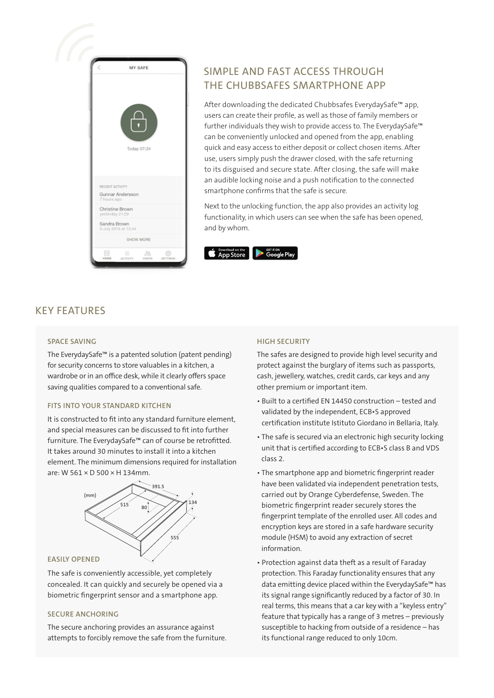

# SIMPLE AND FAST ACCESS THROUGH THE CHUBBSAFES SMARTPHONE APP

After downloading the dedicated Chubbsafes EverydaySafe™ app, users can create their profile, as well as those of family members or further individuals they wish to provide access to. The EverydaySafe™ can be conveniently unlocked and opened from the app, enabling quick and easy access to either deposit or collect chosen items. After use, users simply push the drawer closed, with the safe returning to its disguised and secure state. After closing, the safe will make an audible locking noise and a push notification to the connected smartphone confirms that the safe is secure.

Next to the unlocking function, the app also provides an activity log functionality, in which users can see when the safe has been opened, and by whom.



### KEY FEATURES

#### **SPACE SAVING**

The EverydaySafe™ is a patented solution (patent pending) for security concerns to store valuables in a kitchen, a wardrobe or in an office desk, while it clearly offers space saving qualities compared to a conventional safe.

#### **FITS INTO YOUR STANDARD KITCHEN**

It is constructed to fit into any standard furniture element, and special measures can be discussed to fit into further furniture. The EverydaySafe™ can of course be retrofitted. It takes around 30 minutes to install it into a kitchen element. The minimum dimensions required for installation are: W 561 × D 500 × H 134mm.



#### **EASILY OPENED**

The safe is conveniently accessible, yet completely concealed. It can quickly and securely be opened via a biometric fingerprint sensor and a smartphone app.

#### **SECURE ANCHORING**

The secure anchoring provides an assurance against attempts to forcibly remove the safe from the furniture.

#### **HIGH SECURITY**

The safes are designed to provide high level security and protect against the burglary of items such as passports, cash, jewellery, watches, credit cards, car keys and any other premium or important item.

- Built to a certified EN 14450 construction tested and validated by the independent, ECB•S approved certification institute Istituto Giordano in Bellaria, Italy.
- The safe is secured via an electronic high security locking unit that is certified according to ECB•S class B and VDS class 2.
- The smartphone app and biometric fingerprint reader have been validated via independent penetration tests, carried out by Orange Cyberdefense, Sweden. The biometric fingerprint reader securely stores the fingerprint template of the enrolled user. All codes and encryption keys are stored in a safe hardware security module (HSM) to avoid any extraction of secret information.
- Protection against data theft as a result of Faraday protection. This Faraday functionality ensures that any data emitting device placed within the EverydaySafe™ has its signal range significantly reduced by a factor of 30. In real terms, this means that a car key with a "keyless entry" feature that typically has a range of 3 metres – previously susceptible to hacking from outside of a residence – has its functional range reduced to only 10cm.